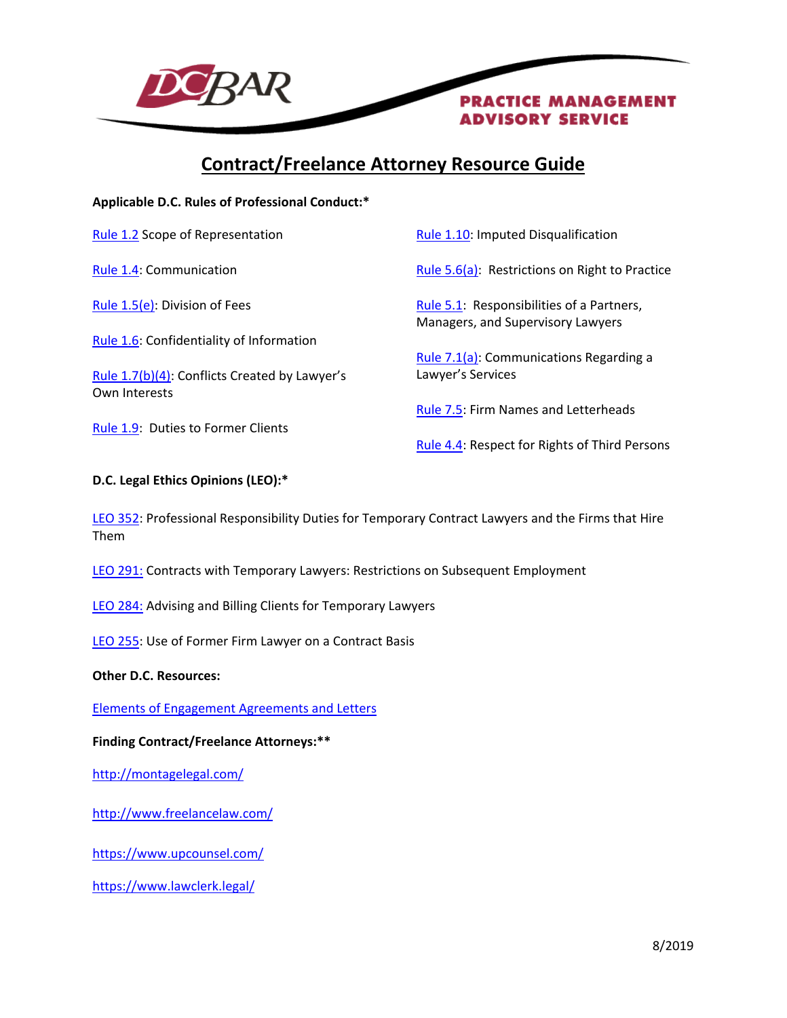

# **Contract/Freelance Attorney Resource Guide**

**Applicable D.C. Rules of Professional Conduct:\***

[Rule 1.2](http://www.dcbar.org/bar-resources/legal-ethics/amended-rules/rule1-02.cfm) Scope of Representation

[Rule 1.4:](http://www.dcbar.org/bar-resources/legal-ethics/amended-rules/rule1-04.cfm) Communication

[Rule 1.5\(e\):](http://www.dcbar.org/bar-resources/legal-ethics/amended-rules/rule1-05.cfm) Division of Fees

[Rule 1.6:](http://www.dcbar.org/bar-resources/legal-ethics/amended-rules/rule1-06.cfm) Confidentiality of Information

[Rule 1.7\(b\)\(4\):](http://www.dcbar.org/bar-resources/legal-ethics/amended-rules/rule1-07.cfm) Conflicts Created by Lawyer's Own Interests

[Rule 1.9:](http://www.dcbar.org/bar-resources/legal-ethics/amended-rules/rule1-09.cfm) Duties to Former Clients

[Rule 1.10:](http://www.dcbar.org/bar-resources/legal-ethics/amended-rules/rule1-10.cfm) Imputed Disqualification

[Rule 5.6\(a\):](https://www.dcbar.org/bar-resources/legal-ethics/amended-rules/rule5-06.cfm) Restrictions on Right to Practice

[Rule 5.1:](http://www.dcbar.org/bar-resources/legal-ethics/amended-rules/rule5-01.cfm) Responsibilities of a Partners, Managers, and Supervisory Lawyers

[Rule 7.1\(a\):](http://www.dcbar.org/bar-resources/legal-ethics/amended-rules/rule7-01.cfm) Communications Regarding a Lawyer's Services

[Rule 7.5:](http://www.dcbar.org/bar-resources/legal-ethics/amended-rules/rule7-05.cfm) Firm Names and Letterheads

[Rule 4.4:](http://www.dcbar.org/bar-resources/legal-ethics/amended-rules/rule4-04.cfm) Respect for Rights of Third Persons

## **D.C. Legal Ethics Opinions (LEO):\***

[LEO 352:](http://www.dcbar.org/bar-resources/legal-ethics/opinions/opinion352.cfm) Professional Responsibility Duties for Temporary Contract Lawyers and the Firms that Hire Them

[LEO 291:](http://www.dcbar.org/bar-resources/legal-ethics/opinions/opinion291.cfm) Contracts with Temporary Lawyers: Restrictions on Subsequent Employment

[LEO 284:](http://www.dcbar.org/bar-resources/legal-ethics/opinions/opinion284.cfm) Advising and Billing Clients for Temporary Lawyers

LEO [255:](http://www.dcbar.org/bar-resources/legal-ethics/opinions/opinion255.cfm) Use of Former Firm Lawyer on a Contract Basis

#### **Other D.C. Resources:**

[Elements of Engagement Agreements and Letters](http://www.dcbar.org/bar-resources/practice-management-advisory-service/engagement-agreements.cfm)

#### **Finding Contract/Freelance Attorneys:\*\***

<http://montagelegal.com/>

<http://www.freelancelaw.com/>

<https://www.upcounsel.com/>

<https://www.lawclerk.legal/>